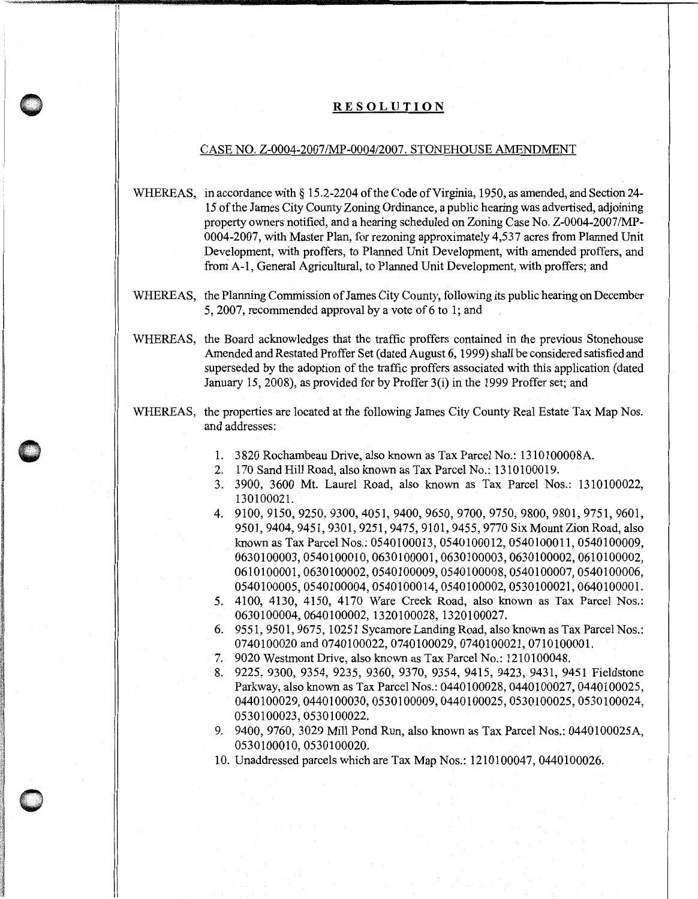## **RESOLUTION**

## CASE NO. Z-0004-2007/MP-0004/2007. STONEHOUSE AMENDMENT

WHEREAS, in accordance with § 15.2-2204 of the Code of Virginia, 1950, as amended, and Section 24-15 of the James City County Zoning Ordinance, a public hearing was advertised, adjoining property owners notified, and a hearing scheduled on Zoning Case No. Z-0004-2007/MP-0004-2007, with Master Plan, for rezoning approximately 4,537 acres from Planned Unit Development, with proffers, to Planned Unit Development, with amended proffers, and from A-1, General Agricultural, to Planned Unit Development, with proffers; and

- WHEREAS, the Planning Commission of James City County, following its public hearing on December 5, 2007, recommended approval by a vote of 6 to 1; and
- WHEREAS, the Board acknowledges that the traffic proffers contained in the previous Stonehouse Amended and Restated Proffer Set (dated August 6, 1999) shall be considered satisfied and superseded by the adoption of the traffic proffers associated with this application (dated January 15, 2008), as provided for by Proffer 3(i) in the 1999 Proffer set; and
- WHEREAS, the properties are located at the following James City County Real Estate Tax Map Nos. and addresses:
	- 1. 3820 Rochambeau Drive, also known as Tax Parcel No.: 1310100008A.
	- 2. 170 Sand Hill Road, also known as Tax Parcel No.: 1310100019.
	- 3. 3900, 3600 Mt. Laurel Road, also known as Tax Parcel Nos.: 1310100022, 130100021.
	- 4. 9100, 9150, 9250, 9300,4051, 9400, 9650, 9700, 9750, 9800,9801,9751, 9601, 9501, 9404, 9451, 9301, 9251, 9475, 9101, 9455, 9770 Six Mount Zion Road, also known as Tax Parcel Nos.: 0540100013, 0540100012, 0540100011, 0540100009, 0630100003,0540100010,0630100001,0630100003,0630100002,0610100002, 0610100001,0630100002,0540100009,0540100008,0540100007,0540100006, 0540100005,0540100004,0540100014,0540100002,0530100021,0640100001.
	- 5. 4100, 4130, 4150, 4170 Ware Creek Road, also known as Tax Parcel Nos.: 0630100004,0640100002, 1320100028, 1320100027.
	- 6. 9551, 9501, 9675, 10251 Sycamore Landing Road, also known as Tax Parcel Nos.: 0740100020 and 0740100022, 0740100029, 0740100021, 0710100001.
	- 7. 9020 Westmont Drive, also known as Tax Parcel No.: 1210100048.
	- 8. 9225, 9300, 9354, 9235, 9360, 9370, 9354, 9415, 9423, 9431, 9451 Fieldstone Parkway, also known as Tax Parcel Nos.: 0440100028, 0440100027, 0440100025, 0440100029,0440100030,0530100009,0440100025,0530100025,0530100024, 0530100023,0530100022.
	- 9. 9400, 9760, 3029 Mill Pond Run, also known as Tax Parcel Nos.: 0440100025A, 0530100010,0530100020.
	- 10. Unaddressed parcels which are Tax Map Nos.: 1210100047, 0440100026.